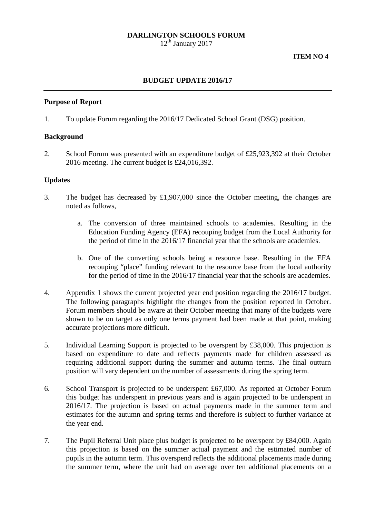## **DARLINGTON SCHOOLS FORUM**

 $12<sup>th</sup>$  January 2017

## **BUDGET UPDATE 2016/17**

#### **Purpose of Report**

1. To update Forum regarding the 2016/17 Dedicated School Grant (DSG) position.

### **Background**

2. School Forum was presented with an expenditure budget of £25,923,392 at their October 2016 meeting. The current budget is £24,016,392.

### **Updates**

- 3. The budget has decreased by £1,907,000 since the October meeting, the changes are noted as follows,
	- a. The conversion of three maintained schools to academies. Resulting in the Education Funding Agency (EFA) recouping budget from the Local Authority for the period of time in the 2016/17 financial year that the schools are academies.
	- b. One of the converting schools being a resource base. Resulting in the EFA recouping "place" funding relevant to the resource base from the local authority for the period of time in the 2016/17 financial year that the schools are academies.
- 4. Appendix 1 shows the current projected year end position regarding the 2016/17 budget. The following paragraphs highlight the changes from the position reported in October. Forum members should be aware at their October meeting that many of the budgets were shown to be on target as only one terms payment had been made at that point, making accurate projections more difficult.
- 5. Individual Learning Support is projected to be overspent by £38,000. This projection is based on expenditure to date and reflects payments made for children assessed as requiring additional support during the summer and autumn terms. The final outturn position will vary dependent on the number of assessments during the spring term.
- 6. School Transport is projected to be underspent £67,000. As reported at October Forum this budget has underspent in previous years and is again projected to be underspent in 2016/17. The projection is based on actual payments made in the summer term and estimates for the autumn and spring terms and therefore is subject to further variance at the year end.
- 7. The Pupil Referral Unit place plus budget is projected to be overspent by £84,000. Again this projection is based on the summer actual payment and the estimated number of pupils in the autumn term. This overspend reflects the additional placements made during the summer term, where the unit had on average over ten additional placements on a